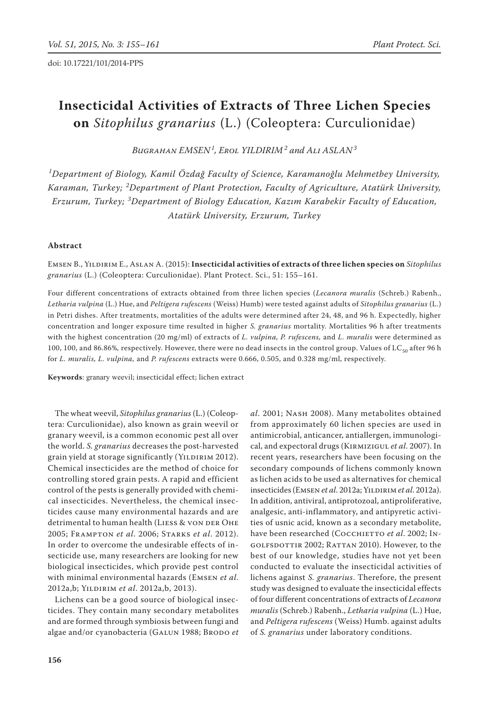# **Insecticidal Activities of Extracts of Three Lichen Species on** *Sitophilus granarius* (L.) (Coleoptera: Curculionidae)

*Bugrahan EMSEN<sup>1</sup> , Erol YILDIRIM<sup>2</sup> and Ali ASLAN<sup>3</sup>*

*1 Department of Biology, Kamil Özdağ Faculty of Science, Karamanoğlu Mehmetbey University, Karaman, Turkey; <sup>2</sup> Department of Plant Protection, Faculty of Agriculture, Atatürk University, Erzurum, Turkey; <sup>3</sup> Department of Biology Education, Kazım Karabekir Faculty of Education, Atatürk University, Erzurum, Turkey*

## **Abstract**

Emsen B., Yildirim E., Aslan A. (2015): **Insecticidal activities of extracts of three lichen species on** *Sitophilus granarius* (L.) (Coleoptera: Curculionidae). Plant Protect. Sci., 51: 155–161.

Four different concentrations of extracts obtained from three lichen species (*Lecanora muralis* (Schreb.) Rabenh., *Letharia vulpina* (L.) Hue, and *Peltigera rufescens* (Weiss) Humb) were tested against adults of *Sitophilus granarius* (L.) in Petri dishes. After treatments, mortalities of the adults were determined after 24, 48, and 96 h. Expectedly, higher concentration and longer exposure time resulted in higher *S. granarius* mortality. Mortalities 96 h after treatments with the highest concentration (20 mg/ml) of extracts of *L. vulpina, P. rufescens,* and *L. muralis* were determined as 100, 100, and 86.86%, respectively. However, there were no dead insects in the control group. Values of LC<sub>50</sub> after 96 h for *L. muralis, L. vulpina,* and *P. rufescens* extracts were 0.666, 0.505, and 0.328 mg/ml, respectively.

**Keywords**: granary weevil; insecticidal effect; lichen extract

The wheat weevil, *Sitophilus granarius* (L.) (Coleoptera: Curculionidae), also known as grain weevil or granary weevil, is a common economic pest all over the world. *S. granarius* decreases the post-harvested grain yield at storage significantly (YILDIRIM 2012). Chemical insecticides are the method of choice for controlling stored grain pests. A rapid and efficient control of the pests is generally provided with chemical insecticides. Nevertheless, the chemical insecticides cause many environmental hazards and are detrimental to human health (LIESS & VON DER OHE 2005; Frampton *et al*. 2006; Starks *et al*. 2012). In order to overcome the undesirable effects of insecticide use, many researchers are looking for new biological insecticides, which provide pest control with minimal environmental hazards (Emsen *et al*. 2012a,b; Yildirim *et al*. 2012a,b, 2013).

Lichens can be a good source of biological insecticides. They contain many secondary metabolites and are formed through symbiosis between fungi and algae and/or cyanobacteria (GALUN 1988; BRODO et *al*. 2001; Nash 2008). Many metabolites obtained from approximately 60 lichen species are used in antimicrobial, anticancer, antiallergen, immunological, and expectoral drugs (Kirmizigul *et al*. 2007). In recent years, researchers have been focusing on the secondary compounds of lichens commonly known as lichen acids to be used as alternatives for chemical insecticides (Emsen *et al*. 2012a; Yildirim *et al*. 2012a). In addition, antiviral, antiprotozoal, antiproliferative, analgesic, anti-inflammatory, and antipyretic activities of usnic acid, known as a secondary metabolite, have been researched (COCCHIETTO et al. 2002; INgolfsdottir 2002; Rattan 2010). However, to the best of our knowledge, studies have not yet been conducted to evaluate the insecticidal activities of lichens against *S. granarius*. Therefore, the present study was designed to evaluate the insecticidal effects of four different concentrations of extracts of *Lecanora muralis* (Schreb.) Rabenh., *Letharia vulpina* (L.) Hue, and *Peltigera rufescens* (Weiss) Humb. against adults of *S. granarius* under laboratory conditions.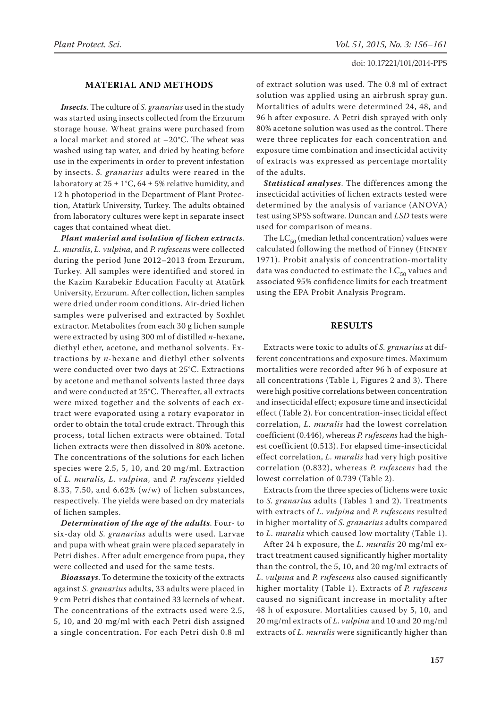## **MATERIAL AND METHODS**

*Insects*. The culture of *S. granarius* used in the study was started using insects collected from the Erzurum storage house. Wheat grains were purchased from a local market and stored at –20°C. The wheat was washed using tap water, and dried by heating before use in the experiments in order to prevent infestation by insects. *S. granarius* adults were reared in the laboratory at  $25 \pm 1^{\circ}$ C, 64  $\pm$  5% relative humidity, and 12 h photoperiod in the Department of Plant Protection, Atatürk University, Turkey. The adults obtained from laboratory cultures were kept in separate insect cages that contained wheat diet.

*Plant material and isolation of lichen extracts*. *L. muralis*, *L. vulpina,* and *P. rufescens* were collected during the period June 2012–2013 from Erzurum, Turkey. All samples were identified and stored in the Kazim Karabekir Education Faculty at Atatürk University, Erzurum. After collection, lichen samples were dried under room conditions. Air-dried lichen samples were pulverised and extracted by Soxhlet extractor. Metabolites from each 30 g lichen sample were extracted by using 300 ml of distilled *n*-hexane, diethyl ether, acetone, and methanol solvents. Extractions by *n*-hexane and diethyl ether solvents were conducted over two days at 25°C. Extractions by acetone and methanol solvents lasted three days and were conducted at 25°C. Thereafter, all extracts were mixed together and the solvents of each extract were evaporated using a rotary evaporator in order to obtain the total crude extract. Through this process, total lichen extracts were obtained. Total lichen extracts were then dissolved in 80% acetone. The concentrations of the solutions for each lichen species were 2.5, 5, 10, and 20 mg/ml. Extraction of *L. muralis, L. vulpina,* and *P. rufescens* yielded 8.33, 7.50, and  $6.62\%$  (w/w) of lichen substances, respectively. The yields were based on dry materials of lichen samples.

*Determination of the age of the adults*. Four- to six-day old *S. granarius* adults were used. Larvae and pupa with wheat grain were placed separately in Petri dishes. After adult emergence from pupa, they were collected and used for the same tests.

*Bioassays*. To determine the toxicity of the extracts against *S. granarius* adults, 33 adults were placed in 9 cm Petri dishes that contained 33 kernels of wheat. The concentrations of the extracts used were 2.5, 5, 10, and 20 mg/ml with each Petri dish assigned a single concentration. For each Petri dish 0.8 ml of extract solution was used. The 0.8 ml of extract solution was applied using an airbrush spray gun. Mortalities of adults were determined 24, 48, and 96 h after exposure. A Petri dish sprayed with only 80% acetone solution was used as the control. There were three replicates for each concentration and exposure time combination and insecticidal activity of extracts was expressed as percentage mortality of the adults.

*Statistical analyses*. The differences among the insecticidal activities of lichen extracts tested were determined by the analysis of variance (ANOVA) test using SPSS software. Duncan and *LSD* tests were used for comparison of means.

The  $LC_{50}$  (median lethal concentration) values were calculated following the method of Finney (Finney 1971). Probit analysis of concentration-mortality data was conducted to estimate the  $LC_{50}$  values and associated 95% confidence limits for each treatment using the EPA Probit Analysis Program.

## **RESULTS**

Extracts were toxic to adults of *S. granarius* at different concentrations and exposure times. Maximum mortalities were recorded after 96 h of exposure at all concentrations (Table 1, Figures 2 and 3). There were high positive correlations between concentration and insecticidal effect; exposure time and insecticidal effect (Table 2). For concentration-insecticidal effect correlation, *L. muralis* had the lowest correlation coefficient (0.446), whereas *P. rufescens* had the highest coefficient (0.513). For elapsed time-insecticidal effect correlation, *L. muralis* had very high positive correlation (0.832), whereas *P. rufescens* had the lowest correlation of 0.739 (Table 2).

Extracts from the three species of lichens were toxic to *S. granarius* adults (Tables 1 and 2). Treatments with extracts of *L. vulpina* and *P. rufescens* resulted in higher mortality of *S. granarius* adults compared to *L. muralis* which caused low mortality (Table 1).

After 24 h exposure, the *L. muralis* 20 mg/ml extract treatment caused significantly higher mortality than the control, the 5, 10, and 20 mg/ml extracts of *L. vulpina* and *P. rufescens* also caused significantly higher mortality (Table 1). Extracts of *P. rufescens*  caused no significant increase in mortality after 48 h of exposure. Mortalities caused by 5, 10, and 20 mg/ml extracts of *L. vulpina* and 10 and 20 mg/ml extracts of *L. muralis* were significantly higher than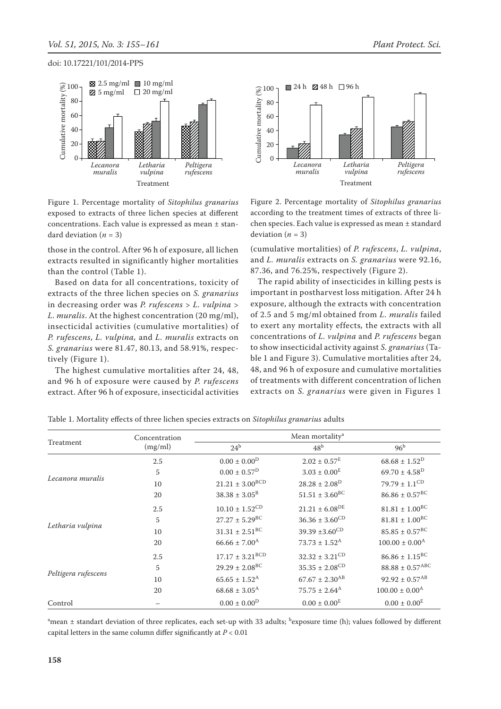



Figure 1. Percentage mortality of *Sitophilus granarius* exposed to extracts of three lichen species at different concentrations. Each value is expressed as mean ± standard deviation  $(n = 3)$ 

those in the control. After 96 h of exposure, all lichen extracts resulted in significantly higher mortalities than the control (Table 1).

Based on data for all concentrations, toxicity of extracts of the three lichen species on *S. granarius*  in decreasing order was *P. rufescens* > *L. vulpina* > *L. muralis*. At the highest concentration (20 mg/ml), insecticidal activities (cumulative mortalities) of *P. rufescens*, *L. vulpina,* and *L. muralis* extracts on *S. granarius* were 81.47, 80.13, and 58.91%, respectively (Figure 1).

The highest cumulative mortalities after 24, 48, and 96 h of exposure were caused by *P. rufescens*  extract. After 96 h of exposure, insecticidal activities Figure 2. Percentage mortality of *Sitophilus granarius* according to the treatment times of extracts of three lichen species. Each value is expressed as mean ± standard deviation  $(n = 3)$ 

(cumulative mortalities) of *P. rufescens*, *L. vulpina*, and *L. muralis* extracts on *S. granarius* were 92.16, 87.36, and 76.25%, respectively (Figure 2).

The rapid ability of insecticides in killing pests is important in postharvest loss mitigation. After 24 h exposure, although the extracts with concentration of 2.5 and 5 mg/ml obtained from *L. muralis* failed to exert any mortality effects*,* the extracts with all concentrations of *L. vulpina* and *P. rufescens* began to show insecticidal activity against *S. granarius* (Table 1 and Figure 3). Cumulative mortalities after 24, 48, and 96 h of exposure and cumulative mortalities of treatments with different concentration of lichen extracts on *S. granarius* were given in Figures 1

|                     | Concentration | Mean mortality <sup>a</sup>    |                                |                              |
|---------------------|---------------|--------------------------------|--------------------------------|------------------------------|
| Treatment           | (mg/ml)       | $24^{\rm b}$                   | 48 <sup>b</sup>                | 96 <sup>b</sup>              |
| Lecanora muralis    | 2.5           | $0.00 \pm 0.00^D$              | $2.02 \pm 0.57^E$              | $68.68 \pm 1.52^D$           |
|                     | 5             | $0.00 \pm 0.57^{\text{D}}$     | $3.03 \pm 0.00^E$              | $69.70 \pm 4.58^D$           |
|                     | 10            | $21.21 \pm 3.00^{BCD}$         | $28.28 \pm 2.08^D$             | $79.79 \pm 1.1^{\rm CD}$     |
|                     | 20            | $38.38 \pm 3.05^B$             | $51.51 \pm 3.60^{\rm BC}$      | $86.86 \pm 0.57^{\text{BC}}$ |
| Letharia vulpina    | 2.5           | $10.10 \pm 1.52^{\rm CD}$      | $21.21 \pm 6.08^{DE}$          | $81.81 \pm 1.00^{\rm BC}$    |
|                     | 5             | $27.27 \pm 5.29^{\text{BC}}$   | $36.36 \pm 3.60^{\rm CD}$      | $81.81 \pm 1.00^{BC}$        |
|                     | 10            | $31.31 \pm 2.51^{\text{BC}}$   | 39.39 ± 3.60 <sup>CD</sup>     | $85.85 \pm 0.57^{\rm BC}$    |
|                     | 20            | $66.66 \pm 7.00^{\text{A}}$    | $73.73 \pm 1.52^{\text{A}}$    | $100.00 \pm 0.00^{\text{A}}$ |
| Peltigera rufescens | 2.5           | $17.17 \pm 3.21^{\rm BCD}$     | $32.32 \pm 3.21^{\text{CD}}$   | $86.86 \pm 1.15^{\rm BC}$    |
|                     | 5             | $29.29 \pm 2.08$ <sup>BC</sup> | $35.35 \pm 2.08^{\rm CD}$      | $88.88 \pm 0.57^{\rm ABC}$   |
|                     | 10            | $65.65 \pm 1.52^{\text{A}}$    | $67.67 \pm 2.30$ <sup>AB</sup> | $92.92 \pm 0.57^{AB}$        |
|                     | 20            | $68.68 \pm 3.05^{\rm A}$       | $75.75 \pm 2.64^{\text{A}}$    | $100.00 \pm 0.00^{\text{A}}$ |
| Control             |               | $0.00 \pm 0.00^D$              | $0.00 \pm 0.00^E$              | $0.00 \pm 0.00^E$            |

Table 1. Mortality effects of three lichen species extracts on *Sitophilus granarius* adults

 $^{\rm a}$ mean ± standart deviation of three replicates, each set-up with 33 adults;  $^{\rm b}$ exposure time (h); values followed by different capital letters in the same column differ significantly at *P* < 0.01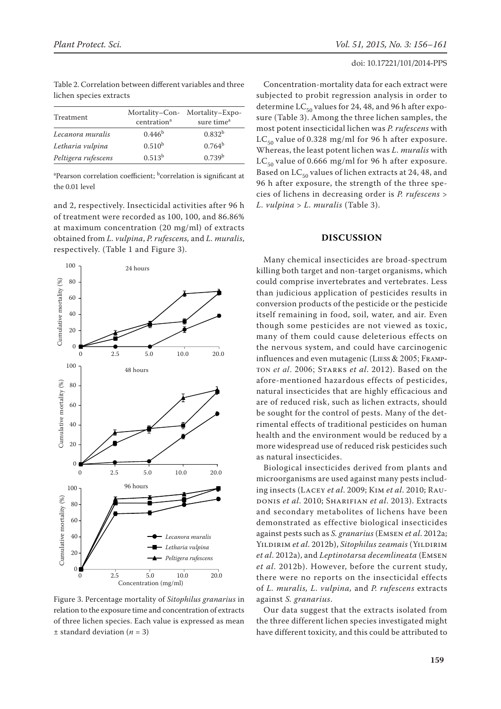| Treatment           | centration <sup>a</sup> | Mortality-Con- Mortality-Expo-<br>sure time <sup>a</sup> |
|---------------------|-------------------------|----------------------------------------------------------|
| Lecanora muralis    | 0.446 <sup>b</sup>      | $0.832^{b}$                                              |
| Letharia vulpina    | 0.510 <sup>b</sup>      | $0.764^b$                                                |
| Peltigera rufescens | 0.513 <sup>b</sup>      | 0.739 <sup>b</sup>                                       |

Table 2. Correlation between different variables and three lichen species extracts

<sup>a</sup>Pearson correlation coefficient; <sup>b</sup>correlation is significant at the 0.01 level

and 2, respectively. Insecticidal activities after 96 h of treatment were recorded as 100, 100, and 86.86% at maximum concentration (20 mg/ml) of extracts obtained from *L. vulpina*, *P. rufescens,* and *L. muralis*, respectively. (Table 1 and Figure 3).



of three lichen species. Each value is expressed as mean relation to the exposure time and concentration of extracts u<br>1 Figure 3. Percentage mortality of *Sitophilus granarius* in  $±$  standard deviation ( $n = 3$ )

Concentration-mortality data for each extract were subjected to probit regression analysis in order to determine  $LC_{50}$  values for 24, 48, and 96 h after exposure (Table 3). Among the three lichen samples, the most potent insecticidal lichen was *P. rufescens* with  $LC_{50}$  value of 0.328 mg/ml for 96 h after exposure. Whereas, the least potent lichen was *L. muralis* with  $LC_{50}$  value of 0.666 mg/ml for 96 h after exposure. Based on  $LC_{50}$  values of lichen extracts at 24, 48, and 96 h after exposure, the strength of the three species of lichens in decreasing order is *P. rufescens* > *L. vulpina* > *L. muralis* (Table 3).

### **DISCUSSION**

Many chemical insecticides are broad-spectrum killing both target and non-target organisms, which could comprise invertebrates and vertebrates. Less than judicious application of pesticides results in conversion products of the pesticide or the pesticide itself remaining in food, soil, water, and air. Even though some pesticides are not viewed as toxic, many of them could cause deleterious effects on the nervous system, and could have carcinogenic influences and even mutagenic (Liess & 2005; Frampton *et al*. 2006; Starks *et al*. 2012). Based on the afore-mentioned hazardous effects of pesticides, natural insecticides that are highly efficacious and are of reduced risk, such as lichen extracts, should be sought for the control of pests. Many of the detrimental effects of traditional pesticides on human health and the environment would be reduced by a more widespread use of reduced risk pesticides such as natural insecticides.

Biological insecticides derived from plants and microorganisms are used against many pests including insects (Lacey *et al*. 2009; Kim *et al*. 2010; Raudonis *et al*. 2010; Sharifian *et al*. 2013). Extracts and secondary metabolites of lichens have been demonstrated as effective biological insecticides against pests such as *S. granarius* (Emsen *et al*. 2012a; YILDIRIM et al. 2012b), *Sitophilus zeamais* (YILDIRIM *et al*. 2012a), and *Leptinotarsa decemlineata* (Emsen *et al*. 2012b). However, before the current study, there were no reports on the insecticidal effects of *L. muralis, L. vulpina,* and *P. rufescens* extracts against *S. granarius*.

Our data suggest that the extracts isolated from the three different lichen species investigated might have different toxicity, and this could be attributed to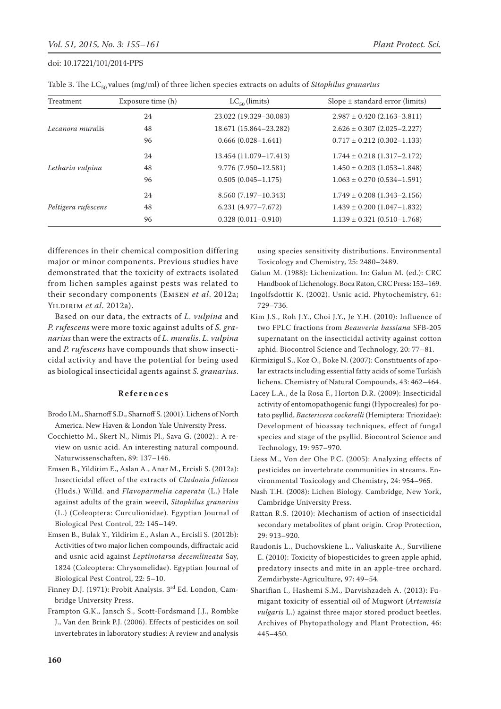| Treatment           | Exposure time (h) | $LC_{50}$ (limits)      | Slope $\pm$ standard error (limits) |
|---------------------|-------------------|-------------------------|-------------------------------------|
| Lecanora muralis    | 24                | 23.022 (19.329-30.083)  | $2.987 \pm 0.420$ (2.163-3.811)     |
|                     | 48                | 18.671 (15.864-23.282)  | $2.626 \pm 0.307$ (2.025-2.227)     |
|                     | 96                | $0.666(0.028 - 1.641)$  | $0.717 \pm 0.212 (0.302 - 1.133)$   |
| Letharia vulpina    | 24                | 13.454 (11.079-17.413)  | $1.744 \pm 0.218(1.317 - 2.172)$    |
|                     | 48                | $9.776(7.950 - 12.581)$ | $1.450 \pm 0.203$ (1.053-1.848)     |
|                     | 96                | $0.505(0.045 - 1.175)$  | $1.063 \pm 0.270$ (0.534-1.591)     |
| Peltigera rufescens | 24                | $8.560(7.197-10.343)$   | $1.749 \pm 0.208$ (1.343-2.156)     |
|                     | 48                | $6.231(4.977 - 7.672)$  | $1.439 \pm 0.200$ (1.047-1.832)     |
|                     | 96                | $0.328(0.011 - 0.910)$  | $1.139 \pm 0.321 (0.510 - 1.768)$   |

Table 3. The LC<sub>50</sub> values (mg/ml) of three lichen species extracts on adults of *Sitophilus granarius* 

differences in their chemical composition differing major or minor components. Previous studies have demonstrated that the toxicity of extracts isolated from lichen samples against pests was related to their secondary components (Emsen *et al*. 2012a; Yildirim *et al*. 2012a).

Based on our data, the extracts of *L. vulpina* and *P. rufescens* were more toxic against adults of *S. granarius* than were the extracts of *L. muralis*. *L. vulpina*  and *P. rufescens* have compounds that show insecticidal activity and have the potential for being used as biological insecticidal agents against *S. granarius*.

#### **References**

- Brodo I.M., Sharnoff S.D., Sharnoff S. (2001). Lichens of North America. New Haven & London Yale University Press.
- Cocchietto M., Skert N., Nimis Pl., Sava G. (2002).: A review on usnic acid. An interesting natural compound. Naturwissenschaften, 89: 137–146.
- Emsen B., Yildirim E., Aslan A., Anar M., Ercisli S. (2012a): Insecticidal effect of the extracts of *Cladonia foliacea*  (Huds.) Willd. and *Flavoparmelia caperata* (L.) Hale against adults of the grain weevil, *Sitophilus granarius*  (L.) (Coleoptera: Curculionidae). Egyptian Journal of Biological Pest Control, 22: 145–149.
- Emsen B., Bulak Y., Yildirim E., Aslan A., Ercisli S. (2012b): Activities of two major lichen compounds, diffractaic acid and usnic acid against *Leptinotarsa decemlineata* Say, 1824 (Coleoptera: Chrysomelidae). Egyptian Journal of Biological Pest Control, 22: 5–10.
- Finney D.J. (1971): Probit Analysis. 3rd Ed. London, Cambridge University Press.
- Frampton G.K., Jansch S., Scott-Fordsmand J.J., Rombke J., Van den Brink P.J. (2006). Effects of pesticides on soil invertebrates in laboratory studies: A review and analysis

using species sensitivity distributions. Environmental Toxicology and Chemistry, 25: 2480–2489.

- Galun M. (1988): Lichenization. In: Galun M. (ed.): CRC Handbook of Lichenology. Boca Raton, CRC Press: 153–169.
- Ingolfsdottir K. (2002). Usnic acid. Phytochemistry, 61: 729–736.
- Kim J.S., Roh J.Y., Choi J.Y., Je Y.H. (2010): Influence of two FPLC fractions from *Beauveria bassiana* SFB-205 supernatant on the insecticidal activity against cotton aphid. Biocontrol Science and Technology, 20: 77–81.
- Kirmizigul S., Koz O., Boke N. (2007): Constituents of apolar extracts including essential fatty acids of some Turkish lichens. Chemistry of Natural Compounds, 43: 462–464.
- Lacey L.A., de la Rosa F., Horton D.R. (2009): Insecticidal activity of entomopathogenic fungi (Hypocreales) for potato psyllid, *Bactericera cockerelli* (Hemiptera: Triozidae): Development of bioassay techniques, effect of fungal species and stage of the psyllid. Biocontrol Science and Technology, 19: 957–970.
- Liess M., Von der Ohe P.C. (2005): Analyzing effects of pesticides on invertebrate communities in streams. Environmental Toxicology and Chemistry, 24: 954–965.
- Nash T.H. (2008): Lichen Biology. Cambridge, New York, Cambridge University Press.
- Rattan R.S. (2010): Mechanism of action of insecticidal secondary metabolites of plant origin. Crop Protection, 29: 913–920.
- Raudonis L., Duchovskiene L., Valiuskaite A., Surviliene E. (2010): Toxicity of biopesticides to green apple aphid, predatory insects and mite in an apple-tree orchard. Zemdirbyste-Agriculture, 97: 49–54.
- Sharifian I., Hashemi S.M., Darvishzadeh A. (2013): Fumigant toxicity of essential oil of Mugwort (*Artemisia vulgaris* L.) against three major stored product beetles. Archives of Phytopathology and Plant Protection, 46: 445–450.